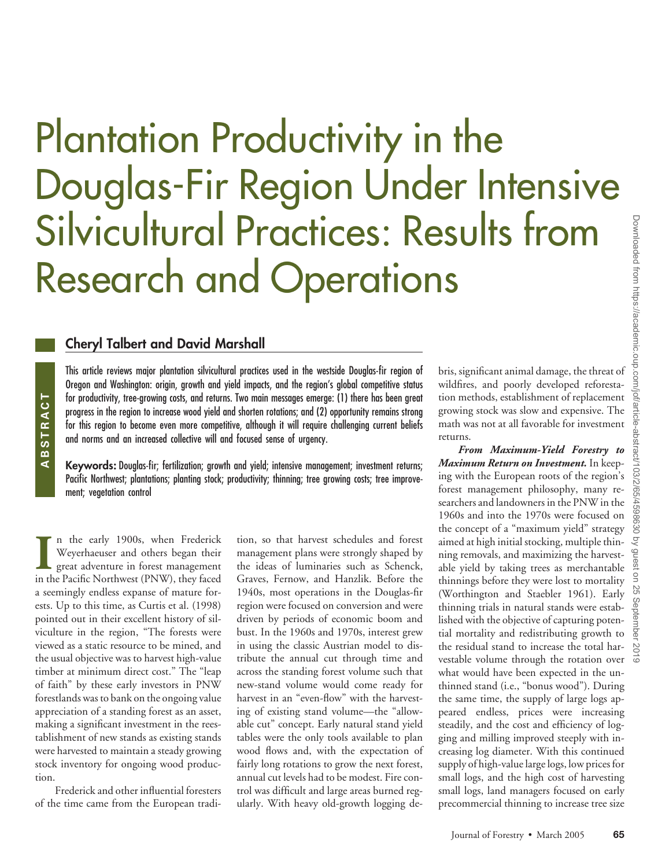# Plantation Productivity in the Douglas-Fir Region Under Intensive Silvicultural Practices: Results from Research and Operations

#### **Cheryl Talbert and David Marshall**

This article reviews major plantation silvicultural practices used in the westside Douglas-fir region of Oregon and Washington: origin, growth and yield impacts, and the region's global competitive status for productivity, tree-growing costs, and returns. Two main messages emerge: (1) there has been great progress in the region to increase wood yield and shorten rotations; and (2) opportunity remains strong for this region to become even more competitive, although it will require challenging current beliefs and norms and an increased collective will and focused sense of urgency.

**Keywords:** Douglas-fir; fertilization; growth and yield; intensive management; investment returns; Pacific Northwest; plantations; planting stock; productivity; thinning; tree growing costs; tree improvement; vegetation control

**I** In the early 1900s, when Frederick Weyerhaeuser and others began their great adventure in forest management in the Pacific Northwest (PNW), they faced n the early 1900s, when Frederick Weyerhaeuser and others began their great adventure in forest management a seemingly endless expanse of mature forests. Up to this time, as Curtis et al. (1998) pointed out in their excellent history of silviculture in the region, "The forests were viewed as a static resource to be mined, and the usual objective was to harvest high-value timber at minimum direct cost." The "leap of faith" by these early investors in PNW forestlands was to bank on the ongoing value appreciation of a standing forest as an asset, making a significant investment in the reestablishment of new stands as existing stands were harvested to maintain a steady growing stock inventory for ongoing wood production.

**ABSTRACT**

ABSTRACT

Frederick and other influential foresters of the time came from the European tradition, so that harvest schedules and forest management plans were strongly shaped by the ideas of luminaries such as Schenck, Graves, Fernow, and Hanzlik. Before the 1940s, most operations in the Douglas-fir region were focused on conversion and were driven by periods of economic boom and bust. In the 1960s and 1970s, interest grew in using the classic Austrian model to distribute the annual cut through time and across the standing forest volume such that new-stand volume would come ready for harvest in an "even-flow" with the harvesting of existing stand volume—the "allowable cut" concept. Early natural stand yield tables were the only tools available to plan wood flows and, with the expectation of fairly long rotations to grow the next forest, annual cut levels had to be modest. Fire control was difficult and large areas burned regularly. With heavy old-growth logging debris, significant animal damage, the threat of wildfires, and poorly developed reforestation methods, establishment of replacement growing stock was slow and expensive. The math was not at all favorable for investment returns.

*From Maximum-Yield Forestry to Maximum Return on Investment.* In keeping with the European roots of the region's forest management philosophy, many researchers and landowners in the PNW in the 1960s and into the 1970s were focused on the concept of a "maximum yield" strategy aimed at high initial stocking, multiple thinning removals, and maximizing the harvestable yield by taking trees as merchantable thinnings before they were lost to mortality (Worthington and Staebler 1961). Early thinning trials in natural stands were established with the objective of capturing potential mortality and redistributing growth to the residual stand to increase the total harvestable volume through the rotation over what would have been expected in the unthinned stand (i.e., "bonus wood"). During the same time, the supply of large logs appeared endless, prices were increasing steadily, and the cost and efficiency of logging and milling improved steeply with increasing log diameter. With this continued supply of high-value large logs, low prices for small logs, and the high cost of harvesting small logs, land managers focused on early precommercial thinning to increase tree size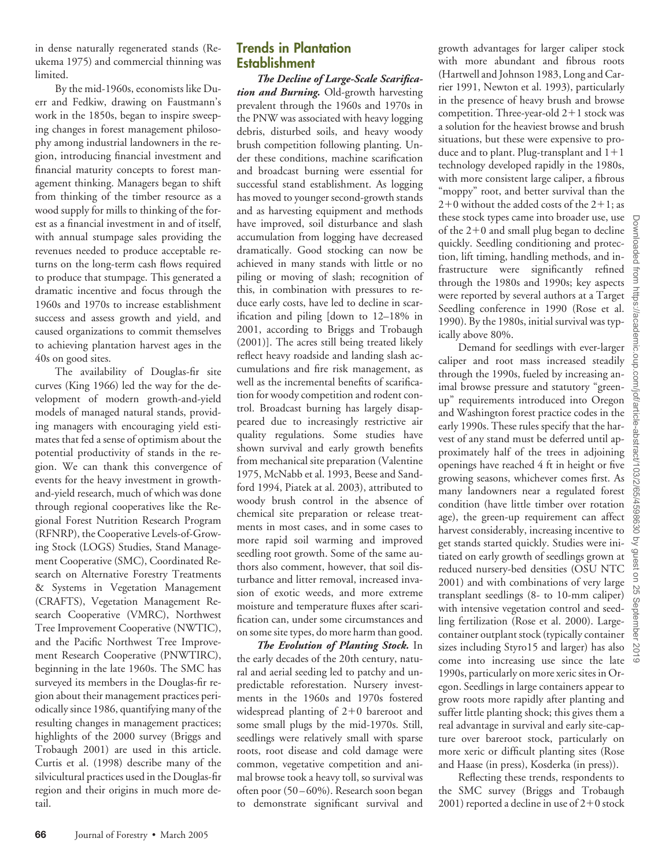in dense naturally regenerated stands (Reukema 1975) and commercial thinning was limited.

By the mid-1960s, economists like Duerr and Fedkiw, drawing on Faustmann's work in the 1850s, began to inspire sweeping changes in forest management philosophy among industrial landowners in the region, introducing financial investment and financial maturity concepts to forest management thinking. Managers began to shift from thinking of the timber resource as a wood supply for mills to thinking of the forest as a financial investment in and of itself, with annual stumpage sales providing the revenues needed to produce acceptable returns on the long-term cash flows required to produce that stumpage. This generated a dramatic incentive and focus through the 1960s and 1970s to increase establishment success and assess growth and yield, and caused organizations to commit themselves to achieving plantation harvest ages in the 40s on good sites.

The availability of Douglas-fir site curves (King 1966) led the way for the development of modern growth-and-yield models of managed natural stands, providing managers with encouraging yield estimates that fed a sense of optimism about the potential productivity of stands in the region. We can thank this convergence of events for the heavy investment in growthand-yield research, much of which was done through regional cooperatives like the Regional Forest Nutrition Research Program (RFNRP), the Cooperative Levels-of-Growing Stock (LOGS) Studies, Stand Management Cooperative (SMC), Coordinated Research on Alternative Forestry Treatments & Systems in Vegetation Management (CRAFTS), Vegetation Management Research Cooperative (VMRC), Northwest Tree Improvement Cooperative (NWTIC), and the Pacific Northwest Tree Improvement Research Cooperative (PNWTIRC), beginning in the late 1960s. The SMC has surveyed its members in the Douglas-fir region about their management practices periodically since 1986, quantifying many of the resulting changes in management practices; highlights of the 2000 survey (Briggs and Trobaugh 2001) are used in this article. Curtis et al. (1998) describe many of the silvicultural practices used in the Douglas-fir region and their origins in much more detail.

# **Trends in Plantation Establishment**

*The Decline of Large-Scale Scarification and Burning.* Old-growth harvesting prevalent through the 1960s and 1970s in the PNW was associated with heavy logging debris, disturbed soils, and heavy woody brush competition following planting. Under these conditions, machine scarification and broadcast burning were essential for successful stand establishment. As logging has moved to younger second-growth stands and as harvesting equipment and methods have improved, soil disturbance and slash accumulation from logging have decreased dramatically. Good stocking can now be achieved in many stands with little or no piling or moving of slash; recognition of this, in combination with pressures to reduce early costs, have led to decline in scarification and piling [down to 12–18% in 2001, according to Briggs and Trobaugh (2001)]. The acres still being treated likely reflect heavy roadside and landing slash accumulations and fire risk management, as well as the incremental benefits of scarification for woody competition and rodent control. Broadcast burning has largely disappeared due to increasingly restrictive air quality regulations. Some studies have shown survival and early growth benefits from mechanical site preparation (Valentine 1975, McNabb et al. 1993, Beese and Sandford 1994, Piatek at al. 2003), attributed to woody brush control in the absence of chemical site preparation or release treatments in most cases, and in some cases to more rapid soil warming and improved seedling root growth. Some of the same authors also comment, however, that soil disturbance and litter removal, increased invasion of exotic weeds, and more extreme moisture and temperature fluxes after scarification can, under some circumstances and on some site types, do more harm than good.

*The Evolution of Planting Stock.* In the early decades of the 20th century, natural and aerial seeding led to patchy and unpredictable reforestation. Nursery investments in the 1960s and 1970s fostered widespread planting of  $2+0$  bareroot and some small plugs by the mid-1970s. Still, seedlings were relatively small with sparse roots, root disease and cold damage were common, vegetative competition and animal browse took a heavy toll, so survival was often poor (50 – 60%). Research soon began to demonstrate significant survival and

growth advantages for larger caliper stock with more abundant and fibrous roots (Hartwell and Johnson 1983, Long and Carrier 1991, Newton et al. 1993), particularly in the presence of heavy brush and browse competition. Three-year-old  $2+1$  stock was a solution for the heaviest browse and brush situations, but these were expensive to produce and to plant. Plug-transplant and  $1+1$ technology developed rapidly in the 1980s, with more consistent large caliper, a fibrous "moppy" root, and better survival than the  $2+0$  without the added costs of the  $2+1$ ; as these stock types came into broader use, use of the  $2+0$  and small plug began to decline quickly. Seedling conditioning and protection, lift timing, handling methods, and infrastructure were significantly refined through the 1980s and 1990s; key aspects were reported by several authors at a Target Seedling conference in 1990 (Rose et al. 1990). By the 1980s, initial survival was typically above 80%.

Demand for seedlings with ever-larger caliper and root mass increased steadily through the 1990s, fueled by increasing animal browse pressure and statutory "greenup" requirements introduced into Oregon and Washington forest practice codes in the early 1990s. These rules specify that the harvest of any stand must be deferred until approximately half of the trees in adjoining openings have reached 4 ft in height or five growing seasons, whichever comes first. As many landowners near a regulated forest condition (have little timber over rotation age), the green-up requirement can affect harvest considerably, increasing incentive to get stands started quickly. Studies were initiated on early growth of seedlings grown at reduced nursery-bed densities (OSU NTC 2001) and with combinations of very large transplant seedlings (8- to 10-mm caliper) with intensive vegetation control and seedling fertilization (Rose et al. 2000). Largecontainer outplant stock (typically container sizes including Styro15 and larger) has also come into increasing use since the late 1990s, particularly on more xeric sites in Oregon. Seedlings in large containers appear to grow roots more rapidly after planting and suffer little planting shock; this gives them a real advantage in survival and early site-capture over bareroot stock, particularly on more xeric or difficult planting sites (Rose and Haase (in press), Kosderka (in press)).

Reflecting these trends, respondents to the SMC survey (Briggs and Trobaugh  $2001$ ) reported a decline in use of  $2+0$  stock Downloaded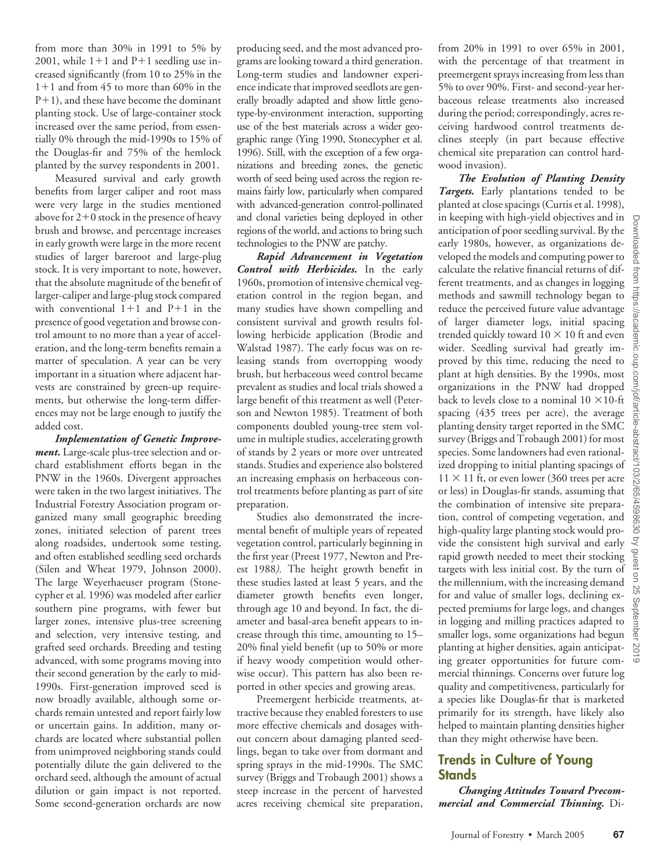from more than 30% in 1991 to 5% by 2001, while  $1+1$  and  $P+1$  seedling use increased significantly (from 10 to 25% in the  $1+1$  and from 45 to more than 60% in the  $P+1$ ), and these have become the dominant planting stock. Use of large-container stock increased over the same period, from essentially 0% through the mid-1990s to 15% of the Douglas-fir and 75% of the hemlock planted by the survey respondents in 2001.

Measured survival and early growth benefits from larger caliper and root mass were very large in the studies mentioned above for  $2+0$  stock in the presence of heavy brush and browse, and percentage increases in early growth were large in the more recent studies of larger bareroot and large-plug stock. It is very important to note, however, that the absolute magnitude of the benefit of larger-caliper and large-plug stock compared with conventional  $1+1$  and  $P+1$  in the presence of good vegetation and browse control amount to no more than a year of acceleration, and the long-term benefits remain a matter of speculation. A year can be very important in a situation where adjacent harvests are constrained by green-up requirements, but otherwise the long-term differences may not be large enough to justify the added cost.

*Implementation of Genetic Improvement.* Large-scale plus-tree selection and orchard establishment efforts began in the PNW in the 1960s. Divergent approaches were taken in the two largest initiatives. The Industrial Forestry Association program organized many small geographic breeding zones, initiated selection of parent trees along roadsides, undertook some testing, and often established seedling seed orchards (Silen and Wheat 1979, Johnson 2000). The large Weyerhaeuser program (Stonecypher et al. 1996) was modeled after earlier southern pine programs, with fewer but larger zones, intensive plus-tree screening and selection, very intensive testing, and grafted seed orchards. Breeding and testing advanced, with some programs moving into their second generation by the early to mid-1990s. First-generation improved seed is now broadly available, although some orchards remain untested and report fairly low or uncertain gains. In addition, many orchards are located where substantial pollen from unimproved neighboring stands could potentially dilute the gain delivered to the orchard seed, although the amount of actual dilution or gain impact is not reported. Some second-generation orchards are now

producing seed, and the most advanced programs are looking toward a third generation. Long-term studies and landowner experience indicate that improved seedlots are generally broadly adapted and show little genotype-by-environment interaction, supporting use of the best materials across a wider geographic range (Ying 1990, Stonecypher et al. 1996). Still, with the exception of a few organizations and breeding zones, the genetic worth of seed being used across the region remains fairly low, particularly when compared with advanced-generation control-pollinated and clonal varieties being deployed in other regions of the world, and actions to bring such technologies to the PNW are patchy.

*Rapid Advancement in Vegetation Control with Herbicides.* In the early 1960s, promotion of intensive chemical vegetation control in the region began, and many studies have shown compelling and consistent survival and growth results following herbicide application (Brodie and Walstad 1987). The early focus was on releasing stands from overtopping woody brush, but herbaceous weed control became prevalent as studies and local trials showed a large benefit of this treatment as well (Peterson and Newton 1985). Treatment of both components doubled young-tree stem volume in multiple studies, accelerating growth of stands by 2 years or more over untreated stands. Studies and experience also bolstered an increasing emphasis on herbaceous control treatments before planting as part of site preparation.

Studies also demonstrated the incremental benefit of multiple years of repeated vegetation control, particularly beginning in the first year (Preest 1977, Newton and Preest 1988*).* The height growth benefit in these studies lasted at least 5 years, and the diameter growth benefits even longer, through age 10 and beyond. In fact, the diameter and basal-area benefit appears to increase through this time, amounting to 15– 20% final yield benefit (up to 50% or more if heavy woody competition would otherwise occur). This pattern has also been reported in other species and growing areas.

Preemergent herbicide treatments, attractive because they enabled foresters to use more effective chemicals and dosages without concern about damaging planted seedlings, began to take over from dormant and spring sprays in the mid-1990s. The SMC survey (Briggs and Trobaugh 2001) shows a steep increase in the percent of harvested acres receiving chemical site preparation,

from 20% in 1991 to over 65% in 2001, with the percentage of that treatment in preemergent sprays increasing from less than 5% to over 90%. First- and second-year herbaceous release treatments also increased during the period; correspondingly, acres receiving hardwood control treatments declines steeply (in part because effective chemical site preparation can control hardwood invasion).

*The Evolution of Planting Density Targets.* Early plantations tended to be planted at close spacings (Curtis et al. 1998), in keeping with high-yield objectives and in anticipation of poor seedling survival. By the early 1980s, however, as organizations developed the models and computing power to calculate the relative financial returns of different treatments, and as changes in logging methods and sawmill technology began to reduce the perceived future value advantage of larger diameter logs, initial spacing trended quickly toward  $10 \times 10$  ft and even wider. Seedling survival had greatly improved by this time, reducing the need to plant at high densities. By the 1990s, most organizations in the PNW had dropped back to levels close to a nominal  $10 \times 10$ -ft spacing (435 trees per acre), the average planting density target reported in the SMC survey (Briggs and Trobaugh 2001) for most species. Some landowners had even rationalized dropping to initial planting spacings of  $11 \times 11$  ft, or even lower (360 trees per acre or less) in Douglas-fir stands, assuming that the combination of intensive site preparation, control of competing vegetation, and high-quality large planting stock would provide the consistent high survival and early rapid growth needed to meet their stocking targets with less initial cost. By the turn of the millennium, with the increasing demand for and value of smaller logs, declining expected premiums for large logs, and changes in logging and milling practices adapted to smaller logs, some organizations had begun planting at higher densities, again anticipating greater opportunities for future commercial thinnings. Concerns over future log quality and competitiveness, particularly for a species like Douglas-fir that is marketed primarily for its strength, have likely also helped to maintain planting densities higher than they might otherwise have been.

# **Trends in Culture of Young Stands**

*Changing Attitudes Toward Precommercial and Commercial Thinning.* Di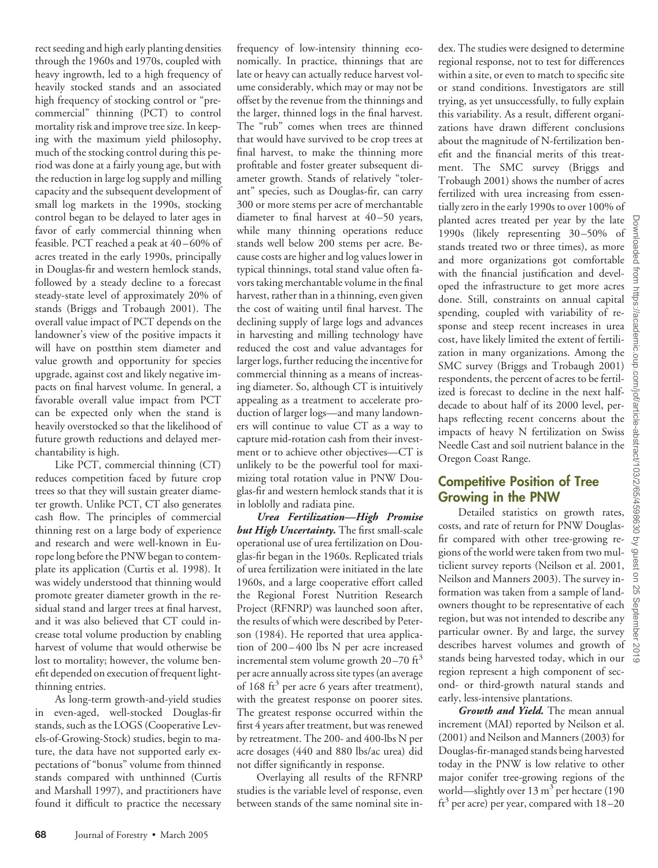rect seeding and high early planting densities through the 1960s and 1970s, coupled with heavy ingrowth, led to a high frequency of heavily stocked stands and an associated high frequency of stocking control or "precommercial" thinning (PCT) to control mortality risk and improve tree size. In keeping with the maximum yield philosophy, much of the stocking control during this period was done at a fairly young age, but with the reduction in large log supply and milling capacity and the subsequent development of small log markets in the 1990s, stocking control began to be delayed to later ages in favor of early commercial thinning when feasible. PCT reached a peak at 40-60% of acres treated in the early 1990s, principally in Douglas-fir and western hemlock stands, followed by a steady decline to a forecast steady-state level of approximately 20% of stands (Briggs and Trobaugh 2001). The overall value impact of PCT depends on the landowner's view of the positive impacts it will have on postthin stem diameter and value growth and opportunity for species upgrade, against cost and likely negative impacts on final harvest volume. In general, a favorable overall value impact from PCT can be expected only when the stand is heavily overstocked so that the likelihood of future growth reductions and delayed merchantability is high. Like PCT, commercial thinning (CT)

reduces competition faced by future crop trees so that they will sustain greater diameter growth. Unlike PCT, CT also generates cash flow. The principles of commercial thinning rest on a large body of experience and research and were well-known in Europe long before the PNW began to contemplate its application (Curtis et al. 1998). It was widely understood that thinning would promote greater diameter growth in the residual stand and larger trees at final harvest, and it was also believed that CT could increase total volume production by enabling harvest of volume that would otherwise be lost to mortality; however, the volume benefit depended on execution of frequent lightthinning entries.

As long-term growth-and-yield studies in even-aged, well-stocked Douglas-fir stands, such as the LOGS (Cooperative Levels-of-Growing-Stock) studies, begin to mature, the data have not supported early expectations of "bonus" volume from thinned stands compared with unthinned (Curtis and Marshall 1997), and practitioners have found it difficult to practice the necessary frequency of low-intensity thinning economically. In practice, thinnings that are late or heavy can actually reduce harvest volume considerably, which may or may not be offset by the revenue from the thinnings and the larger, thinned logs in the final harvest. The "rub" comes when trees are thinned that would have survived to be crop trees at final harvest, to make the thinning more profitable and foster greater subsequent diameter growth. Stands of relatively "tolerant" species, such as Douglas-fir, can carry 300 or more stems per acre of merchantable diameter to final harvest at 40-50 years, while many thinning operations reduce stands well below 200 stems per acre. Because costs are higher and log values lower in typical thinnings, total stand value often favors taking merchantable volume in the final harvest, rather than in a thinning, even given the cost of waiting until final harvest. The declining supply of large logs and advances in harvesting and milling technology have reduced the cost and value advantages for larger logs, further reducing the incentive for commercial thinning as a means of increasing diameter. So, although CT is intuitively appealing as a treatment to accelerate production of larger logs—and many landowners will continue to value CT as a way to capture mid-rotation cash from their investment or to achieve other objectives—CT is unlikely to be the powerful tool for maximizing total rotation value in PNW Douglas-fir and western hemlock stands that it is in loblolly and radiata pine.

*Urea Fertilization—High Promise but High Uncertainty.* The first small-scale operational use of urea fertilization on Douglas-fir began in the 1960s. Replicated trials of urea fertilization were initiated in the late 1960s, and a large cooperative effort called the Regional Forest Nutrition Research Project (RFNRP) was launched soon after, the results of which were described by Peterson (1984). He reported that urea application of 200-400 lbs N per acre increased incremental stem volume growth  $20-70$  ft<sup>3</sup> per acre annually across site types (an average of 168 ft<sup>3</sup> per acre 6 years after treatment), with the greatest response on poorer sites. The greatest response occurred within the first 4 years after treatment, but was renewed by retreatment. The 200- and 400-lbs N per acre dosages (440 and 880 lbs/ac urea) did not differ significantly in response.

Overlaying all results of the RFNRP studies is the variable level of response, even between stands of the same nominal site in-

dex. The studies were designed to determine regional response, not to test for differences within a site, or even to match to specific site or stand conditions. Investigators are still trying, as yet unsuccessfully, to fully explain this variability. As a result, different organizations have drawn different conclusions about the magnitude of N-fertilization benefit and the financial merits of this treatment. The SMC survey (Briggs and Trobaugh 2001) shows the number of acres fertilized with urea increasing from essentially zero in the early 1990s to over 100% of planted acres treated per year by the late 1990s (likely representing 30 –50% of stands treated two or three times), as more and more organizations got comfortable with the financial justification and developed the infrastructure to get more acres done. Still, constraints on annual capital spending, coupled with variability of response and steep recent increases in urea cost, have likely limited the extent of fertilization in many organizations. Among the SMC survey (Briggs and Trobaugh 2001) respondents, the percent of acres to be fertilized is forecast to decline in the next halfdecade to about half of its 2000 level, perhaps reflecting recent concerns about the impacts of heavy N fertilization on Swiss Needle Cast and soil nutrient balance in the Oregon Coast Range.

## **Competitive Position of Tree Growing in the PNW**

Detailed statistics on growth rates, costs, and rate of return for PNW Douglasfir compared with other tree-growing regions of the world were taken from two multiclient survey reports (Neilson et al. 2001, Neilson and Manners 2003). The survey information was taken from a sample of landowners thought to be representative of each region, but was not intended to describe any particular owner. By and large, the survey describes harvest volumes and growth of stands being harvested today, which in our region represent a high component of second- or third-growth natural stands and early, less-intensive plantations.

*Growth and Yield.* The mean annual increment (MAI) reported by Neilson et al. (2001) and Neilson and Manners (2003) for Douglas-fir-managed stands being harvested today in the PNW is low relative to other major conifer tree-growing regions of the world—slightly over  $13 \text{ m}^3$  per hectare (190  $\text{ft}^3$  per acre) per year, compared with  $18-20$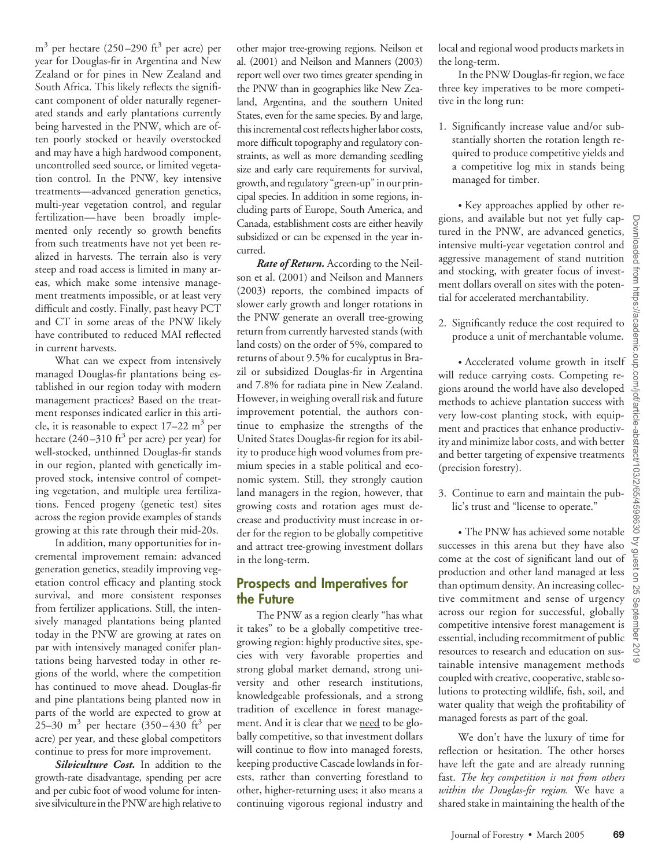$m<sup>3</sup>$  per hectare (250–290 ft<sup>3</sup> per acre) per year for Douglas-fir in Argentina and New Zealand or for pines in New Zealand and South Africa. This likely reflects the significant component of older naturally regenerated stands and early plantations currently being harvested in the PNW, which are often poorly stocked or heavily overstocked and may have a high hardwood component, uncontrolled seed source, or limited vegetation control. In the PNW, key intensive treatments—advanced generation genetics, multi-year vegetation control, and regular fertilization— have been broadly implemented only recently so growth benefits from such treatments have not yet been realized in harvests. The terrain also is very steep and road access is limited in many areas, which make some intensive management treatments impossible, or at least very difficult and costly. Finally, past heavy PCT and CT in some areas of the PNW likely have contributed to reduced MAI reflected in current harvests.

What can we expect from intensively managed Douglas-fir plantations being established in our region today with modern management practices? Based on the treatment responses indicated earlier in this article, it is reasonable to expect  $17-22$  m<sup>3</sup> per hectare  $(240-310 \text{ ft}^3 \text{ per acre})$  per year) for well-stocked, unthinned Douglas-fir stands in our region, planted with genetically improved stock, intensive control of competing vegetation, and multiple urea fertilizations. Fenced progeny (genetic test) sites across the region provide examples of stands growing at this rate through their mid-20s.

In addition, many opportunities for incremental improvement remain: advanced generation genetics, steadily improving vegetation control efficacy and planting stock survival, and more consistent responses from fertilizer applications. Still, the intensively managed plantations being planted today in the PNW are growing at rates on par with intensively managed conifer plantations being harvested today in other regions of the world, where the competition has continued to move ahead. Douglas-fir and pine plantations being planted now in parts of the world are expected to grow at 25–30 m<sup>3</sup> per hectare  $(350-430 \text{ ft}^3 \text{ per})$ acre) per year, and these global competitors continue to press for more improvement.

*Silviculture Cost.* In addition to the growth-rate disadvantage, spending per acre and per cubic foot of wood volume for intensive silviculture in the PNW are high relative to other major tree-growing regions. Neilson et al. (2001) and Neilson and Manners (2003) report well over two times greater spending in the PNW than in geographies like New Zealand, Argentina, and the southern United States, even for the same species. By and large, this incremental cost reflects higher labor costs, more difficult topography and regulatory constraints, as well as more demanding seedling size and early care requirements for survival, growth, and regulatory "green-up" in our principal species. In addition in some regions, including parts of Europe, South America, and Canada, establishment costs are either heavily subsidized or can be expensed in the year incurred.

*Rate of Return.* According to the Neilson et al. (2001) and Neilson and Manners (2003) reports, the combined impacts of slower early growth and longer rotations in the PNW generate an overall tree-growing return from currently harvested stands (with land costs) on the order of 5%, compared to returns of about 9.5% for eucalyptus in Brazil or subsidized Douglas-fir in Argentina and 7.8% for radiata pine in New Zealand. However, in weighing overall risk and future improvement potential, the authors continue to emphasize the strengths of the United States Douglas-fir region for its ability to produce high wood volumes from premium species in a stable political and economic system. Still, they strongly caution land managers in the region, however, that growing costs and rotation ages must decrease and productivity must increase in order for the region to be globally competitive and attract tree-growing investment dollars in the long-term.

## **Prospects and Imperatives for the Future**

The PNW as a region clearly "has what it takes" to be a globally competitive treegrowing region: highly productive sites, species with very favorable properties and strong global market demand, strong university and other research institutions, knowledgeable professionals, and a strong tradition of excellence in forest management. And it is clear that we need to be globally competitive, so that investment dollars will continue to flow into managed forests, keeping productive Cascade lowlands in forests, rather than converting forestland to other, higher-returning uses; it also means a continuing vigorous regional industry and

local and regional wood products markets in the long-term.

In the PNW Douglas-fir region, we face three key imperatives to be more competitive in the long run:

1. Significantly increase value and/or substantially shorten the rotation length required to produce competitive yields and a competitive log mix in stands being managed for timber.

• Key approaches applied by other regions, and available but not yet fully captured in the PNW, are advanced genetics, intensive multi-year vegetation control and aggressive management of stand nutrition and stocking, with greater focus of investment dollars overall on sites with the potential for accelerated merchantability.

2. Significantly reduce the cost required to produce a unit of merchantable volume.

• Accelerated volume growth in itself will reduce carrying costs. Competing regions around the world have also developed methods to achieve plantation success with very low-cost planting stock, with equipment and practices that enhance productivity and minimize labor costs, and with better and better targeting of expensive treatments (precision forestry).

3. Continue to earn and maintain the public's trust and "license to operate."

• The PNW has achieved some notable successes in this arena but they have also come at the cost of significant land out of production and other land managed at less than optimum density. An increasing collective commitment and sense of urgency across our region for successful, globally competitive intensive forest management is essential, including recommitment of public resources to research and education on sustainable intensive management methods coupled with creative, cooperative, stable solutions to protecting wildlife, fish, soil, and water quality that weigh the profitability of managed forests as part of the goal.

We don't have the luxury of time for reflection or hesitation. The other horses have left the gate and are already running fast. *The key competition is not from others within the Douglas-fir region.* We have a shared stake in maintaining the health of the